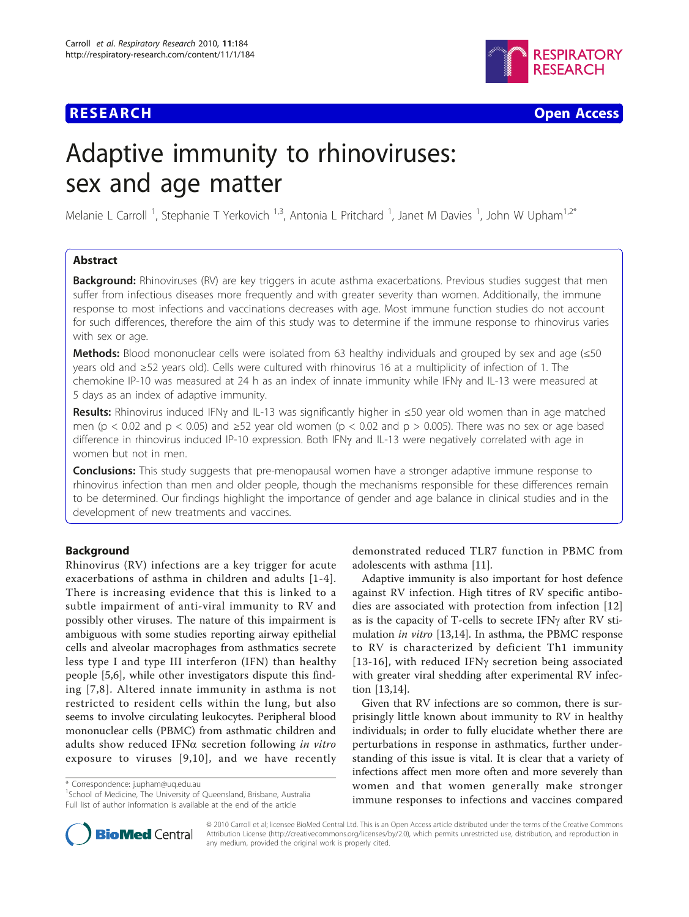## **RESEARCH CONTROL** CONTROL CONTROL CONTROL CONTROL CONTROL CONTROL CONTROL CONTROL CONTROL CONTROL CONTROL CONTROL



# Adaptive immunity to rhinoviruses: sex and age matter

Melanie L Carroll <sup>1</sup>, Stephanie T Yerkovich <sup>1,3</sup>, Antonia L Pritchard <sup>1</sup>, Janet M Davies <sup>1</sup>, John W Upham<sup>1,2\*</sup>

## Abstract

**Background:** Rhinoviruses (RV) are key triggers in acute asthma exacerbations. Previous studies suggest that men suffer from infectious diseases more frequently and with greater severity than women. Additionally, the immune response to most infections and vaccinations decreases with age. Most immune function studies do not account for such differences, therefore the aim of this study was to determine if the immune response to rhinovirus varies with sex or age.

**Methods:** Blood mononuclear cells were isolated from 63 healthy individuals and grouped by sex and age  $(\leq 50$ years old and ≥52 years old). Cells were cultured with rhinovirus 16 at a multiplicity of infection of 1. The chemokine IP-10 was measured at 24 h as an index of innate immunity while IFNg and IL-13 were measured at 5 days as an index of adaptive immunity.

Results: Rhinovirus induced IFNy and IL-13 was significantly higher in ≤50 year old women than in age matched men (p < 0.02 and p < 0.05) and  $\geq$ 52 year old women (p < 0.02 and p > 0.005). There was no sex or age based difference in rhinovirus induced IP-10 expression. Both IFN<sub>y</sub> and IL-13 were negatively correlated with age in women but not in men.

**Conclusions:** This study suggests that pre-menopausal women have a stronger adaptive immune response to rhinovirus infection than men and older people, though the mechanisms responsible for these differences remain to be determined. Our findings highlight the importance of gender and age balance in clinical studies and in the development of new treatments and vaccines.

## **Background**

Rhinovirus (RV) infections are a key trigger for acute exacerbations of asthma in children and adults [[1-4\]](#page-6-0). There is increasing evidence that this is linked to a subtle impairment of anti-viral immunity to RV and possibly other viruses. The nature of this impairment is ambiguous with some studies reporting airway epithelial cells and alveolar macrophages from asthmatics secrete less type I and type III interferon (IFN) than healthy people [[5,6\]](#page-6-0), while other investigators dispute this finding [[7](#page-6-0),[8](#page-6-0)]. Altered innate immunity in asthma is not restricted to resident cells within the lung, but also seems to involve circulating leukocytes. Peripheral blood mononuclear cells (PBMC) from asthmatic children and adults show reduced IFN $\alpha$  secretion following in vitro exposure to viruses [[9,10](#page-6-0)], and we have recently

\* Correspondence: [j.upham@uq.edu.au](mailto:j.upham@uq.edu.au)

<sup>1</sup>School of Medicine, The University of Queensland, Brisbane, Australia Full list of author information is available at the end of the article



Adaptive immunity is also important for host defence against RV infection. High titres of RV specific antibodies are associated with protection from infection [\[12](#page-6-0)] as is the capacity of T-cells to secrete IFNy after RV stimulation in vitro [\[13,14](#page-6-0)]. In asthma, the PBMC response to RV is characterized by deficient Th1 immunity [[13](#page-6-0)-[16](#page-6-0)], with reduced IFN $\gamma$  secretion being associated with greater viral shedding after experimental RV infection [\[13,14\]](#page-6-0).

Given that RV infections are so common, there is surprisingly little known about immunity to RV in healthy individuals; in order to fully elucidate whether there are perturbations in response in asthmatics, further understanding of this issue is vital. It is clear that a variety of infections affect men more often and more severely than women and that women generally make stronger immune responses to infections and vaccines compared



© 2010 Carroll et al; licensee BioMed Central Ltd. This is an Open Access article distributed under the terms of the Creative Commons Attribution License [\(http://creativecommons.org/licenses/by/2.0](http://creativecommons.org/licenses/by/2.0)), which permits unrestricted use, distribution, and reproduction in any medium, provided the original work is properly cited.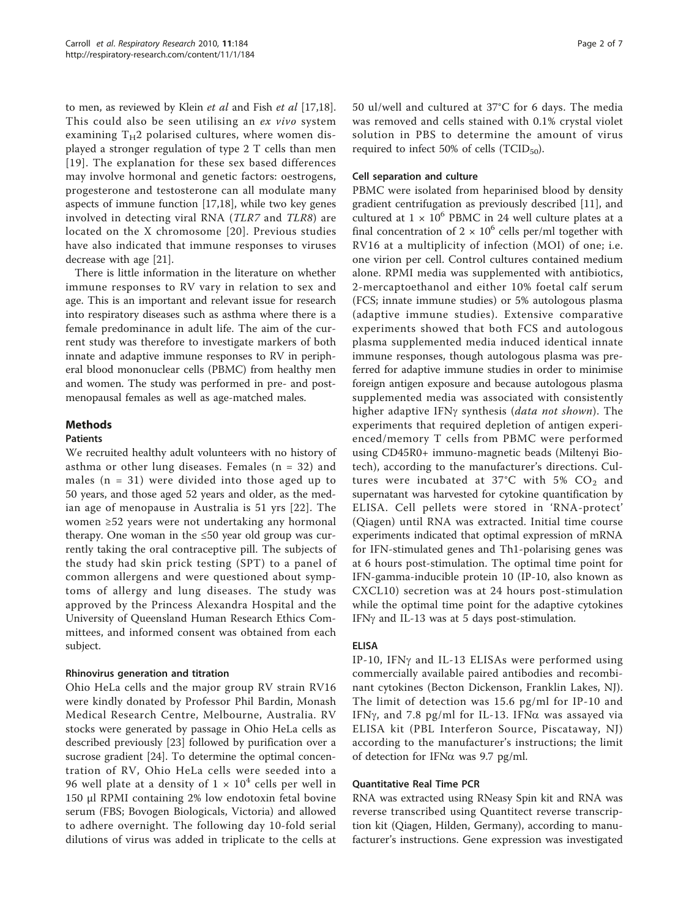to men, as reviewed by Klein et al and Fish et al [[17](#page-6-0),[18](#page-6-0)]. This could also be seen utilising an ex vivo system examining  $T_H2$  polarised cultures, where women displayed a stronger regulation of type 2 T cells than men [[19\]](#page-6-0). The explanation for these sex based differences may involve hormonal and genetic factors: oestrogens, progesterone and testosterone can all modulate many aspects of immune function [[17](#page-6-0),[18](#page-6-0)], while two key genes involved in detecting viral RNA (TLR7 and TLR8) are located on the X chromosome [[20](#page-6-0)]. Previous studies have also indicated that immune responses to viruses decrease with age [\[21](#page-6-0)].

There is little information in the literature on whether immune responses to RV vary in relation to sex and age. This is an important and relevant issue for research into respiratory diseases such as asthma where there is a female predominance in adult life. The aim of the current study was therefore to investigate markers of both innate and adaptive immune responses to RV in peripheral blood mononuclear cells (PBMC) from healthy men and women. The study was performed in pre- and postmenopausal females as well as age-matched males.

## Methods

#### **Patients**

We recruited healthy adult volunteers with no history of asthma or other lung diseases. Females  $(n = 32)$  and males ( $n = 31$ ) were divided into those aged up to 50 years, and those aged 52 years and older, as the median age of menopause in Australia is 51 yrs [[22](#page-6-0)]. The women ≥52 years were not undertaking any hormonal therapy. One woman in the ≤50 year old group was currently taking the oral contraceptive pill. The subjects of the study had skin prick testing (SPT) to a panel of common allergens and were questioned about symptoms of allergy and lung diseases. The study was approved by the Princess Alexandra Hospital and the University of Queensland Human Research Ethics Committees, and informed consent was obtained from each subject.

## Rhinovirus generation and titration

Ohio HeLa cells and the major group RV strain RV16 were kindly donated by Professor Phil Bardin, Monash Medical Research Centre, Melbourne, Australia. RV stocks were generated by passage in Ohio HeLa cells as described previously [\[23\]](#page-6-0) followed by purification over a sucrose gradient [\[24\]](#page-6-0). To determine the optimal concentration of RV, Ohio HeLa cells were seeded into a 96 well plate at a density of  $1 \times 10^4$  cells per well in 150 μl RPMI containing 2% low endotoxin fetal bovine serum (FBS; Bovogen Biologicals, Victoria) and allowed to adhere overnight. The following day 10-fold serial dilutions of virus was added in triplicate to the cells at 50 ul/well and cultured at 37°C for 6 days. The media was removed and cells stained with 0.1% crystal violet solution in PBS to determine the amount of virus required to infect 50% of cells ( $TCID_{50}$ ).

## Cell separation and culture

PBMC were isolated from heparinised blood by density gradient centrifugation as previously described [[11\]](#page-6-0), and cultured at  $1 \times 10^6$  PBMC in 24 well culture plates at a final concentration of  $2 \times 10^6$  cells per/ml together with RV16 at a multiplicity of infection (MOI) of one; i.e. one virion per cell. Control cultures contained medium alone. RPMI media was supplemented with antibiotics, 2-mercaptoethanol and either 10% foetal calf serum (FCS; innate immune studies) or 5% autologous plasma (adaptive immune studies). Extensive comparative experiments showed that both FCS and autologous plasma supplemented media induced identical innate immune responses, though autologous plasma was preferred for adaptive immune studies in order to minimise foreign antigen exposure and because autologous plasma supplemented media was associated with consistently higher adaptive IFN $\gamma$  synthesis (*data not shown*). The experiments that required depletion of antigen experienced/memory T cells from PBMC were performed using CD45R0+ immuno-magnetic beads (Miltenyi Biotech), according to the manufacturer's directions. Cultures were incubated at 37°C with 5%  $CO<sub>2</sub>$  and supernatant was harvested for cytokine quantification by ELISA. Cell pellets were stored in 'RNA-protect' (Qiagen) until RNA was extracted. Initial time course experiments indicated that optimal expression of mRNA for IFN-stimulated genes and Th1-polarising genes was at 6 hours post-stimulation. The optimal time point for IFN-gamma-inducible protein 10 (IP-10, also known as CXCL10) secretion was at 24 hours post-stimulation while the optimal time point for the adaptive cytokines IFNg and IL-13 was at 5 days post-stimulation.

## ELISA

IP-10, IFNg and IL-13 ELISAs were performed using commercially available paired antibodies and recombinant cytokines (Becton Dickenson, Franklin Lakes, NJ). The limit of detection was 15.6 pg/ml for IP-10 and IFN $\gamma$ , and 7.8 pg/ml for IL-13. IFN $\alpha$  was assayed via ELISA kit (PBL Interferon Source, Piscataway, NJ) according to the manufacturer's instructions; the limit of detection for IFN $\alpha$  was 9.7 pg/ml.

#### Quantitative Real Time PCR

RNA was extracted using RNeasy Spin kit and RNA was reverse transcribed using Quantitect reverse transcription kit (Qiagen, Hilden, Germany), according to manufacturer's instructions. Gene expression was investigated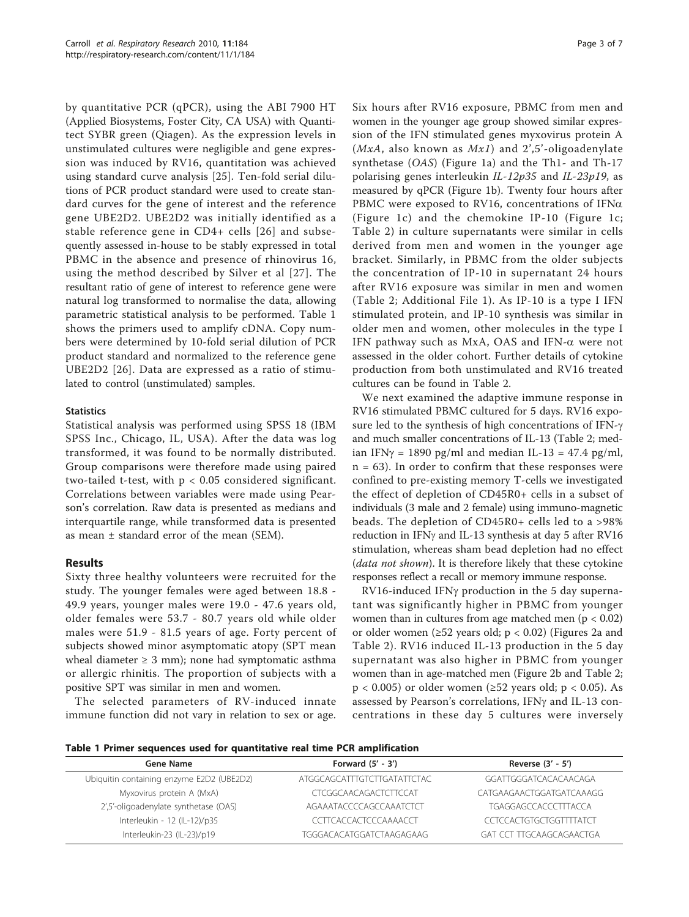by quantitative PCR (qPCR), using the ABI 7900 HT (Applied Biosystems, Foster City, CA USA) with Quantitect SYBR green (Qiagen). As the expression levels in unstimulated cultures were negligible and gene expression was induced by RV16, quantitation was achieved using standard curve analysis [[25\]](#page-6-0). Ten-fold serial dilutions of PCR product standard were used to create standard curves for the gene of interest and the reference gene UBE2D2. UBE2D2 was initially identified as a stable reference gene in CD4+ cells [[26](#page-6-0)] and subsequently assessed in-house to be stably expressed in total PBMC in the absence and presence of rhinovirus 16, using the method described by Silver et al [\[27\]](#page-6-0). The resultant ratio of gene of interest to reference gene were natural log transformed to normalise the data, allowing parametric statistical analysis to be performed. Table 1 shows the primers used to amplify cDNA. Copy numbers were determined by 10-fold serial dilution of PCR product standard and normalized to the reference gene UBE2D2 [[26\]](#page-6-0). Data are expressed as a ratio of stimulated to control (unstimulated) samples.

## **Statistics**

Statistical analysis was performed using SPSS 18 (IBM SPSS Inc., Chicago, IL, USA). After the data was log transformed, it was found to be normally distributed. Group comparisons were therefore made using paired two-tailed t-test, with p < 0.05 considered significant. Correlations between variables were made using Pearson's correlation. Raw data is presented as medians and interquartile range, while transformed data is presented as mean ± standard error of the mean (SEM).

## Results

Sixty three healthy volunteers were recruited for the study. The younger females were aged between 18.8 - 49.9 years, younger males were 19.0 - 47.6 years old, older females were 53.7 - 80.7 years old while older males were 51.9 - 81.5 years of age. Forty percent of subjects showed minor asymptomatic atopy (SPT mean wheal diameter  $\geq 3$  mm); none had symptomatic asthma or allergic rhinitis. The proportion of subjects with a positive SPT was similar in men and women.

The selected parameters of RV-induced innate immune function did not vary in relation to sex or age. Six hours after RV16 exposure, PBMC from men and women in the younger age group showed similar expression of the IFN stimulated genes myxovirus protein A (*MxA*, also known as *Mx1*) and  $2'$ ,5'-oligoadenylate synthetase (OAS) (Figure [1a\)](#page-3-0) and the Th1- and Th-17 polarising genes interleukin  $IL-12p35$  and  $IL-23p19$ , as measured by qPCR (Figure [1b\)](#page-3-0). Twenty four hours after PBMC were exposed to RV16, concentrations of IFN $\alpha$ (Figure [1c\)](#page-3-0) and the chemokine IP-10 (Figure [1c](#page-3-0); Table [2\)](#page-4-0) in culture supernatants were similar in cells derived from men and women in the younger age bracket. Similarly, in PBMC from the older subjects the concentration of IP-10 in supernatant 24 hours after RV16 exposure was similar in men and women (Table [2;](#page-4-0) Additional File [1](#page-5-0)). As IP-10 is a type I IFN stimulated protein, and IP-10 synthesis was similar in older men and women, other molecules in the type I IFN pathway such as MxA, OAS and IFN- $\alpha$  were not assessed in the older cohort. Further details of cytokine production from both unstimulated and RV16 treated cultures can be found in Table [2.](#page-4-0)

We next examined the adaptive immune response in RV16 stimulated PBMC cultured for 5 days. RV16 exposure led to the synthesis of high concentrations of IFN-g and much smaller concentrations of IL-13 (Table [2](#page-4-0); median IFN $\gamma$  = 1890 pg/ml and median IL-13 = 47.4 pg/ml,  $n = 63$ ). In order to confirm that these responses were confined to pre-existing memory T-cells we investigated the effect of depletion of CD45R0+ cells in a subset of individuals (3 male and 2 female) using immuno-magnetic beads. The depletion of CD45R0+ cells led to a >98% reduction in IFNg and IL-13 synthesis at day 5 after RV16 stimulation, whereas sham bead depletion had no effect (data not shown). It is therefore likely that these cytokine responses reflect a recall or memory immune response.

RV16-induced IFN $\gamma$  production in the 5 day supernatant was significantly higher in PBMC from younger women than in cultures from age matched men ( $p < 0.02$ ) or older women ( $\geq 52$  years old;  $p < 0.02$ ) (Figures [2a](#page-4-0) and Table [2](#page-4-0)). RV16 induced IL-13 production in the 5 day supernatant was also higher in PBMC from younger women than in age-matched men (Figure [2b](#page-4-0) and Table [2](#page-4-0);  $p < 0.005$ ) or older women ( $\geq 52$  years old;  $p < 0.05$ ). As assessed by Pearson's correlations, IFNy and IL-13 concentrations in these day 5 cultures were inversely

|  |  |  |  |  |  |  | Table 1 Primer sequences used for quantitative real time PCR amplification |
|--|--|--|--|--|--|--|----------------------------------------------------------------------------|
|--|--|--|--|--|--|--|----------------------------------------------------------------------------|

| Gene Name                                 | Forward $(5' - 3')$             | Reverse $(3' - 5')$         |
|-------------------------------------------|---------------------------------|-----------------------------|
| Ubiquitin containing enzyme E2D2 (UBE2D2) | ATGGCAGCATTTGTCTTGATATTCTAC     | GGATTGGGATCACACAACAGA       |
| Myxovirus protein A (MxA)                 | <b>CTCGGCAACAGACTCTTCCAT</b>    | CATGAAGAACTGGATGATCAAAGG    |
| 2',5'-oligoadenylate synthetase (OAS)     | AGAAATACCCCAGCCAAATCTCT         | <b>TGAGGAGCCACCCTTTACCA</b> |
| Interleukin - 12 (IL-12)/p35              | CCTTCACCACTCCCAAAACCT           | CCTCCACTGTGCTGGTTTTATCT     |
| Interleukin-23 (IL-23)/p19                | <b>TGGGACACATGGATCTAAGAGAAG</b> | GAT CCT TTGCAAGCAGAACTGA    |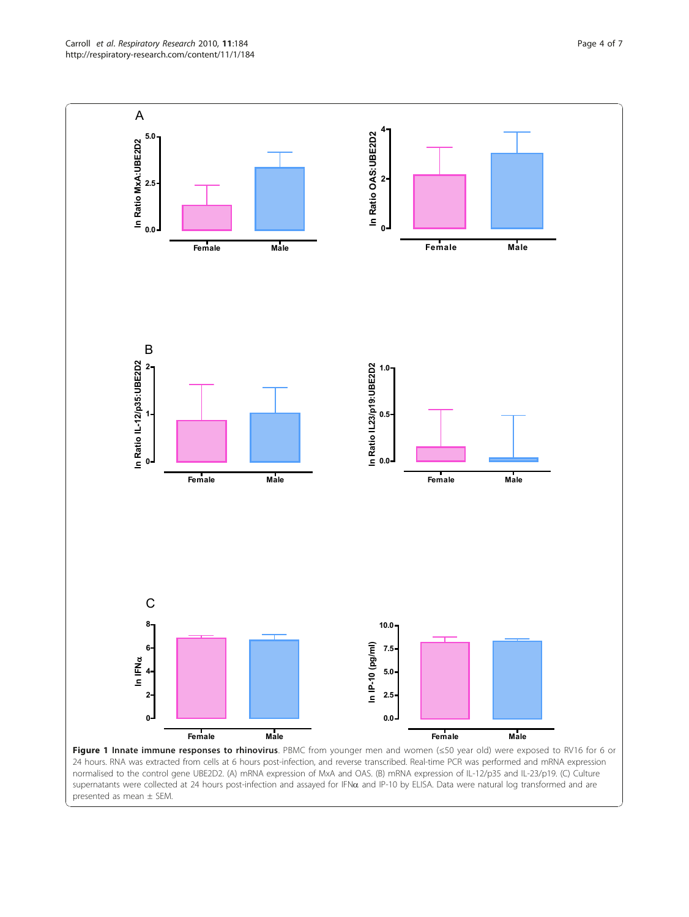<span id="page-3-0"></span>Carroll et al. Respiratory Research 2010, 11:184 http://respiratory-research.com/content/11/1/184



24 hours. RNA was extracted from cells at 6 hours post-infection, and reverse transcribed. Real-time PCR was performed and mRNA expression normalised to the control gene UBE2D2. (A) mRNA expression of MxA and OAS. (B) mRNA expression of IL-12/p35 and IL-23/p19. (C) Culture supernatants were collected at 24 hours post-infection and assayed for IFN $\alpha$  and IP-10 by ELISA. Data were natural log transformed and are presented as mean ± SEM.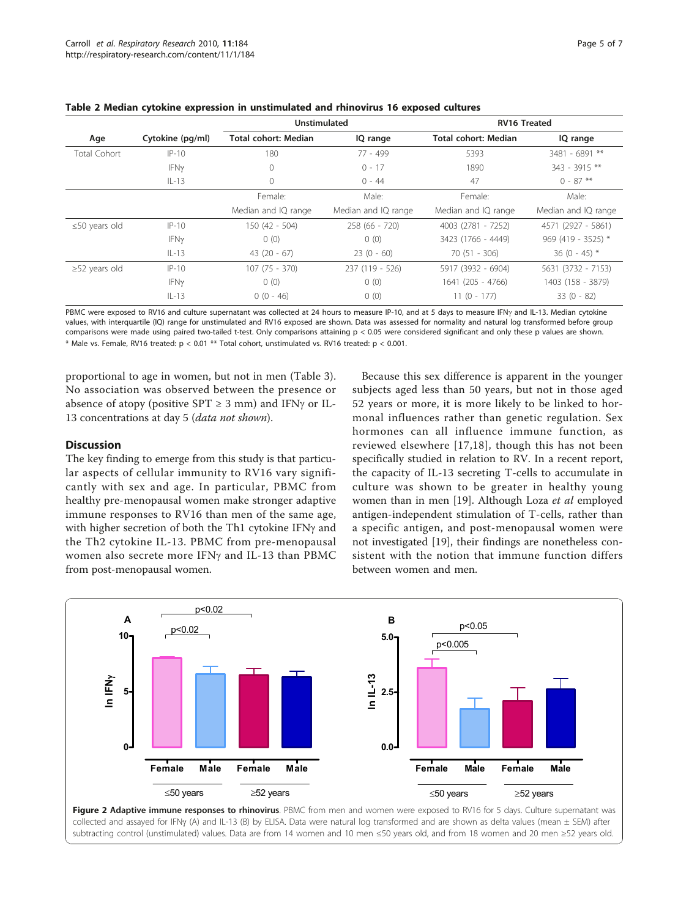|                     |                  | <b>Unstimulated</b>         |                     | <b>RV16 Treated</b>         |                     |
|---------------------|------------------|-----------------------------|---------------------|-----------------------------|---------------------|
| Age                 | Cytokine (pg/ml) | <b>Total cohort: Median</b> | IQ range            | <b>Total cohort: Median</b> | IQ range            |
| Total Cohort        | $IP-10$          | 180                         | 77 - 499            | 5393                        | 3481 - 6891 **      |
|                     | IFNγ             | $\Omega$                    | $0 - 17$            | 1890                        | 343 - 3915 **       |
|                     | $IL-13$          | 0                           | $() - 44$           | 47                          | $0 - 87$ **         |
|                     |                  | Female:                     | Male:               | Female:                     | Male:               |
|                     |                  | Median and IQ range         | Median and IQ range | Median and IQ range         | Median and IQ range |
| $\leq$ 50 years old | $IP-10$          | 150 (42 - 504)              | $258(66 - 720)$     | 4003 (2781 - 7252)          | 4571 (2927 - 5861)  |
|                     | IFNγ             | 0(0)                        | 0(0)                | 3423 (1766 - 4449)          | 969 (419 - 3525) *  |
|                     | $IL-13$          | $43(20 - 67)$               | $23(0 - 60)$        | 70 (51 - 306)               | $36(0 - 45)$ *      |
| $\geq$ 52 years old | $IP-10$          | $107(75 - 370)$             | 237 (119 - 526)     | 5917 (3932 - 6904)          | 5631 (3732 - 7153)  |
|                     | IFNγ             | 0(0)                        | 0(0)                | 1641 (205 - 4766)           | 1403 (158 - 3879)   |
|                     | $IL-13$          | $0(0 - 46)$                 | 0(0)                | $11(0 - 177)$               | $33(0 - 82)$        |

<span id="page-4-0"></span>Table 2 Median cytokine expression in unstimulated and rhinovirus 16 exposed cultures

PBMC were exposed to RV16 and culture supernatant was collected at 24 hours to measure IP-10, and at 5 days to measure IFNy and IL-13. Median cytokine values, with interquartile (IQ) range for unstimulated and RV16 exposed are shown. Data was assessed for normality and natural log transformed before group comparisons were made using paired two-tailed t-test. Only comparisons attaining p < 0.05 were considered significant and only these p values are shown.  $*$  Male vs. Female, RV16 treated:  $p < 0.01 **$  Total cohort, unstimulated vs. RV16 treated:  $p < 0.001$ .

proportional to age in women, but not in men (Table [3](#page-5-0)). No association was observed between the presence or absence of atopy (positive SPT  $\geq$  3 mm) and IFN $\gamma$  or IL-13 concentrations at day 5 (*data not shown*).

## **Discussion**

The key finding to emerge from this study is that particular aspects of cellular immunity to RV16 vary significantly with sex and age. In particular, PBMC from healthy pre-menopausal women make stronger adaptive immune responses to RV16 than men of the same age, with higher secretion of both the Th1 cytokine IFN $\gamma$  and the Th2 cytokine IL-13. PBMC from pre-menopausal women also secrete more IFN<sub>Y</sub> and IL-13 than PBMC from post-menopausal women.

Because this sex difference is apparent in the younger subjects aged less than 50 years, but not in those aged 52 years or more, it is more likely to be linked to hormonal influences rather than genetic regulation. Sex hormones can all influence immune function, as reviewed elsewhere [[17](#page-6-0),[18](#page-6-0)], though this has not been specifically studied in relation to RV. In a recent report, the capacity of IL-13 secreting T-cells to accumulate in culture was shown to be greater in healthy young women than in men [[19\]](#page-6-0). Although Loza et al employed antigen-independent stimulation of T-cells, rather than a specific antigen, and post-menopausal women were not investigated [\[19](#page-6-0)], their findings are nonetheless consistent with the notion that immune function differs between women and men.



Figure 2 Adaptive immune responses to rhinovirus. PBMC from men and women were exposed to RV16 for 5 days. Culture supernatant was collected and assayed for IFNy (A) and IL-13 (B) by ELISA. Data were natural log transformed and are shown as delta values (mean ± SEM) after subtracting control (unstimulated) values. Data are from 14 women and 10 men ≤50 years old, and from 18 women and 20 men ≥52 years old.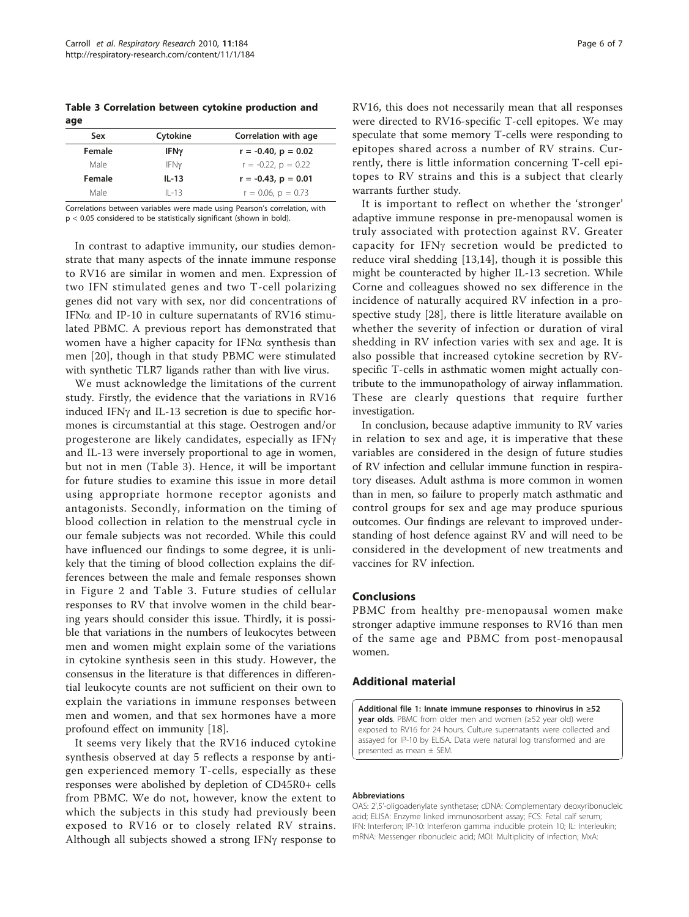<span id="page-5-0"></span>Table 3 Correlation between cytokine production and age

| Sex    | Cytokine  | Correlation with age     |
|--------|-----------|--------------------------|
| Female | IFNY      | $r = -0.40$ , $p = 0.02$ |
| Male   | IFNγ      | $r = -0.22$ , $p = 0.22$ |
| Female | $IL-13$   | $r = -0.43$ , $p = 0.01$ |
| Male   | $II - 13$ | $r = 0.06$ , $p = 0.73$  |

Correlations between variables were made using Pearson's correlation, with p < 0.05 considered to be statistically significant (shown in bold).

In contrast to adaptive immunity, our studies demonstrate that many aspects of the innate immune response to RV16 are similar in women and men. Expression of two IFN stimulated genes and two T-cell polarizing genes did not vary with sex, nor did concentrations of IFN $\alpha$  and IP-10 in culture supernatants of RV16 stimulated PBMC. A previous report has demonstrated that women have a higher capacity for IFN $\alpha$  synthesis than men [[20\]](#page-6-0), though in that study PBMC were stimulated with synthetic TLR7 ligands rather than with live virus.

We must acknowledge the limitations of the current study. Firstly, the evidence that the variations in RV16 induced IFN $\gamma$  and IL-13 secretion is due to specific hormones is circumstantial at this stage. Oestrogen and/or progesterone are likely candidates, especially as  $IFN\gamma$ and IL-13 were inversely proportional to age in women, but not in men (Table 3). Hence, it will be important for future studies to examine this issue in more detail using appropriate hormone receptor agonists and antagonists. Secondly, information on the timing of blood collection in relation to the menstrual cycle in our female subjects was not recorded. While this could have influenced our findings to some degree, it is unlikely that the timing of blood collection explains the differences between the male and female responses shown in Figure [2](#page-4-0) and Table 3. Future studies of cellular responses to RV that involve women in the child bearing years should consider this issue. Thirdly, it is possible that variations in the numbers of leukocytes between men and women might explain some of the variations in cytokine synthesis seen in this study. However, the consensus in the literature is that differences in differential leukocyte counts are not sufficient on their own to explain the variations in immune responses between men and women, and that sex hormones have a more profound effect on immunity [[18](#page-6-0)].

It seems very likely that the RV16 induced cytokine synthesis observed at day 5 reflects a response by antigen experienced memory T-cells, especially as these responses were abolished by depletion of CD45R0+ cells from PBMC. We do not, however, know the extent to which the subjects in this study had previously been exposed to RV16 or to closely related RV strains. Although all subjects showed a strong  $IFN\gamma$  response to

RV16, this does not necessarily mean that all responses were directed to RV16-specific T-cell epitopes. We may speculate that some memory T-cells were responding to epitopes shared across a number of RV strains. Currently, there is little information concerning T-cell epitopes to RV strains and this is a subject that clearly warrants further study.

It is important to reflect on whether the 'stronger' adaptive immune response in pre-menopausal women is truly associated with protection against RV. Greater capacity for IFNg secretion would be predicted to reduce viral shedding [\[13](#page-6-0),[14\]](#page-6-0), though it is possible this might be counteracted by higher IL-13 secretion. While Corne and colleagues showed no sex difference in the incidence of naturally acquired RV infection in a prospective study [[28\]](#page-6-0), there is little literature available on whether the severity of infection or duration of viral shedding in RV infection varies with sex and age. It is also possible that increased cytokine secretion by RVspecific T-cells in asthmatic women might actually contribute to the immunopathology of airway inflammation. These are clearly questions that require further investigation.

In conclusion, because adaptive immunity to RV varies in relation to sex and age, it is imperative that these variables are considered in the design of future studies of RV infection and cellular immune function in respiratory diseases. Adult asthma is more common in women than in men, so failure to properly match asthmatic and control groups for sex and age may produce spurious outcomes. Our findings are relevant to improved understanding of host defence against RV and will need to be considered in the development of new treatments and vaccines for RV infection.

## Conclusions

PBMC from healthy pre-menopausal women make stronger adaptive immune responses to RV16 than men of the same age and PBMC from post-menopausal women.

## Additional material

[Additional file 1: I](http://www.biomedcentral.com/content/supplementary/1465-9921-11-184-S1.PDF)nnate immune responses to rhinovirus in ≥52 vear olds. PBMC from older men and women (≥52 year old) were exposed to RV16 for 24 hours. Culture supernatants were collected and assayed for IP-10 by ELISA. Data were natural log transformed and are presented as mean ± SEM.

#### Abbreviations

OAS: 2',5'-oligoadenylate synthetase; cDNA: Complementary deoxyribonucleic acid; ELISA: Enzyme linked immunosorbent assay; FCS: Fetal calf serum; IFN: Interferon; IP-10: Interferon gamma inducible protein 10; IL: Interleukin; mRNA: Messenger ribonucleic acid; MOI: Multiplicity of infection; MxA: